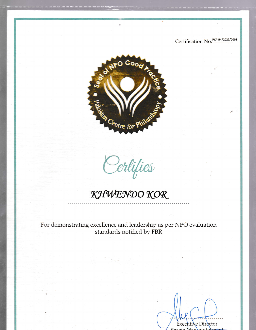Certification No: PCP-R4/2022/0005



Certifies

KHWENDO KOR

For demonstrating excellence and leadership as per NPO evaluation standards notified by FBR

Executive Director